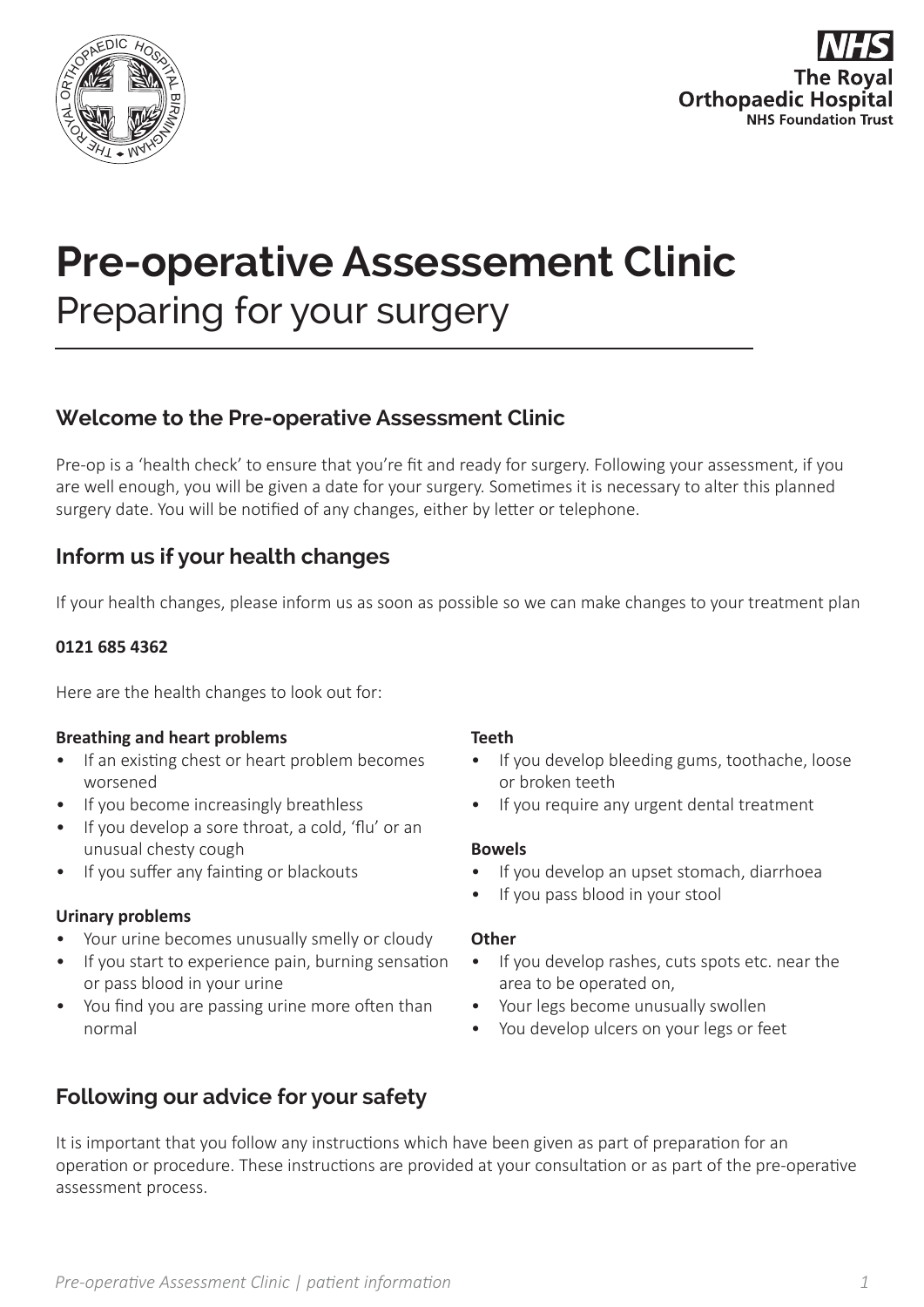



# **Pre-operative Assessement Clinic**

Preparing for your surgery

## **Welcome to the Pre-operative Assessment Clinic**

Pre-op is a 'health check' to ensure that you're fit and ready for surgery. Following your assessment, if you are well enough, you will be given a date for your surgery. Sometimes it is necessary to alter this planned surgery date. You will be notified of any changes, either by letter or telephone.

## **Inform us if your health changes**

If your health changes, please inform us as soon as possible so we can make changes to your treatment plan

#### **0121 685 4362**

Here are the health changes to look out for:

#### **Breathing and heart problems**

- If an existing chest or heart problem becomes worsened
- If you become increasingly breathless
- If you develop a sore throat, a cold, 'flu' or an unusual chesty cough
- If you suffer any fainting or blackouts

#### **Urinary problems**

- Your urine becomes unusually smelly or cloudy
- If you start to experience pain, burning sensation or pass blood in your urine
- You find you are passing urine more often than normal

#### **Teeth**

- If you develop bleeding gums, toothache, loose or broken teeth
- If you require any urgent dental treatment

#### **Bowels**

- If you develop an upset stomach, diarrhoea
- If you pass blood in your stool

#### **Other**

- If you develop rashes, cuts spots etc. near the area to be operated on,
- Your legs become unusually swollen
- You develop ulcers on your legs or feet

## **Following our advice for your safety**

It is important that you follow any instructions which have been given as part of preparation for an operation or procedure. These instructions are provided at your consultation or as part of the pre-operative assessment process.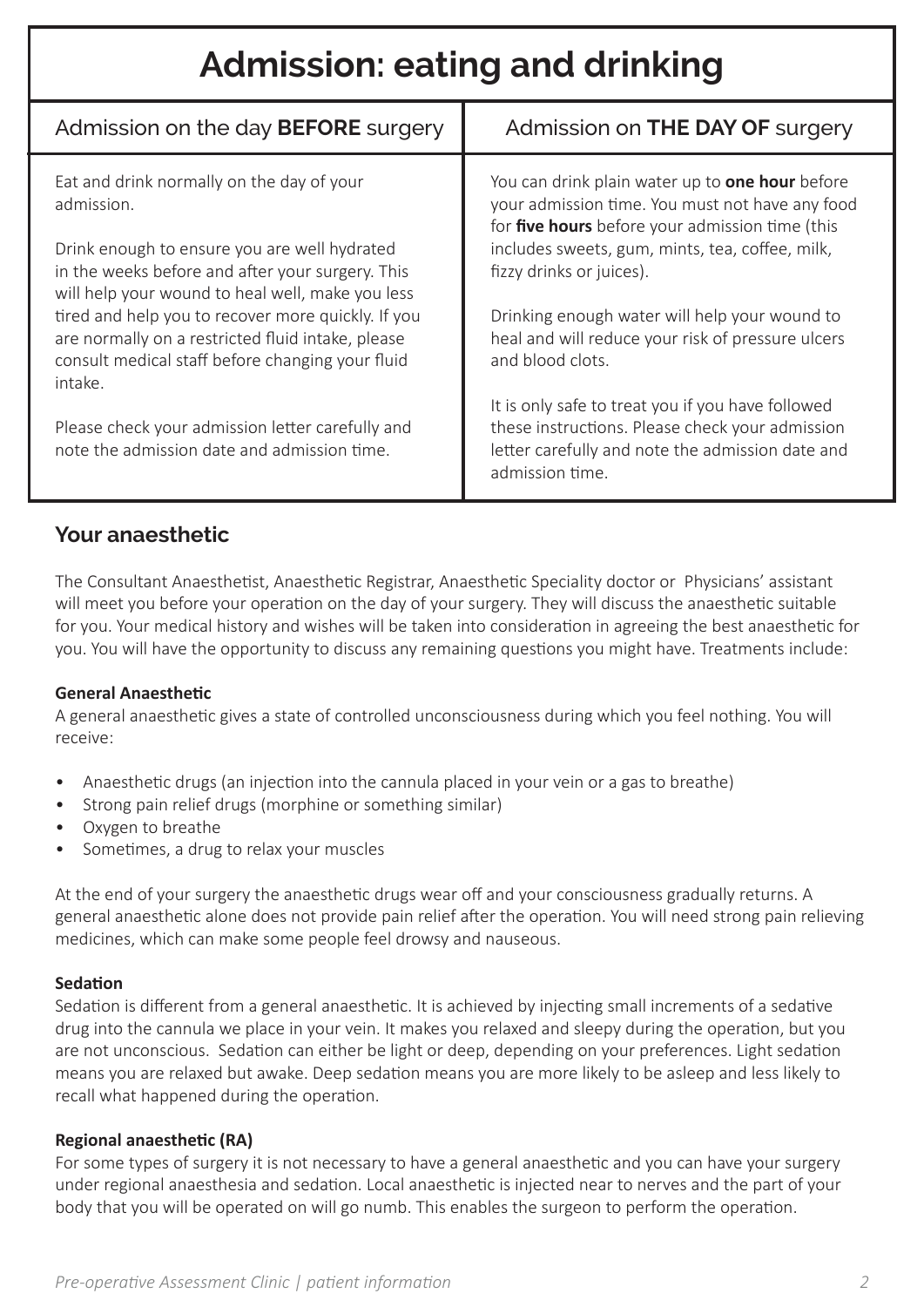## **Admission: eating and drinking**

| Admission on the day <b>BEFORE</b> surgery                                                                                                                             | Admission on <b>THE DAY OF</b> surgery                                                                                                                                      |
|------------------------------------------------------------------------------------------------------------------------------------------------------------------------|-----------------------------------------------------------------------------------------------------------------------------------------------------------------------------|
| Eat and drink normally on the day of your<br>admission.                                                                                                                | You can drink plain water up to <b>one hour</b> before<br>your admission time. You must not have any food<br>for five hours before your admission time (this                |
| Drink enough to ensure you are well hydrated<br>in the weeks before and after your surgery. This<br>will help your wound to heal well, make you less                   | includes sweets, gum, mints, tea, coffee, milk,<br>fizzy drinks or juices).                                                                                                 |
| tired and help you to recover more quickly. If you<br>are normally on a restricted fluid intake, please<br>consult medical staff before changing your fluid<br>intake. | Drinking enough water will help your wound to<br>heal and will reduce your risk of pressure ulcers<br>and blood clots.                                                      |
| Please check your admission letter carefully and<br>note the admission date and admission time.                                                                        | It is only safe to treat you if you have followed<br>these instructions. Please check your admission<br>letter carefully and note the admission date and<br>admission time. |

## **Your anaesthetic**

The Consultant Anaesthetist, Anaesthetic Registrar, Anaesthetic Speciality doctor or Physicians' assistant will meet you before your operation on the day of your surgery. They will discuss the anaesthetic suitable for you. Your medical history and wishes will be taken into consideration in agreeing the best anaesthetic for you. You will have the opportunity to discuss any remaining questions you might have. Treatments include:

#### **General Anaesthetic**

A general anaesthetic gives a state of controlled unconsciousness during which you feel nothing. You will receive:

- Anaesthetic drugs (an injection into the cannula placed in your vein or a gas to breathe)
- Strong pain relief drugs (morphine or something similar)
- Oxygen to breathe
- Sometimes, a drug to relax your muscles

At the end of your surgery the anaesthetic drugs wear off and your consciousness gradually returns. A general anaesthetic alone does not provide pain relief after the operation. You will need strong pain relieving medicines, which can make some people feel drowsy and nauseous.

#### **Sedation**

Sedation is different from a general anaesthetic. It is achieved by injecting small increments of a sedative drug into the cannula we place in your vein. It makes you relaxed and sleepy during the operation, but you are not unconscious. Sedation can either be light or deep, depending on your preferences. Light sedation means you are relaxed but awake. Deep sedation means you are more likely to be asleep and less likely to recall what happened during the operation.

#### **Regional anaesthetic (RA)**

For some types of surgery it is not necessary to have a general anaesthetic and you can have your surgery under regional anaesthesia and sedation. Local anaesthetic is injected near to nerves and the part of your body that you will be operated on will go numb. This enables the surgeon to perform the operation.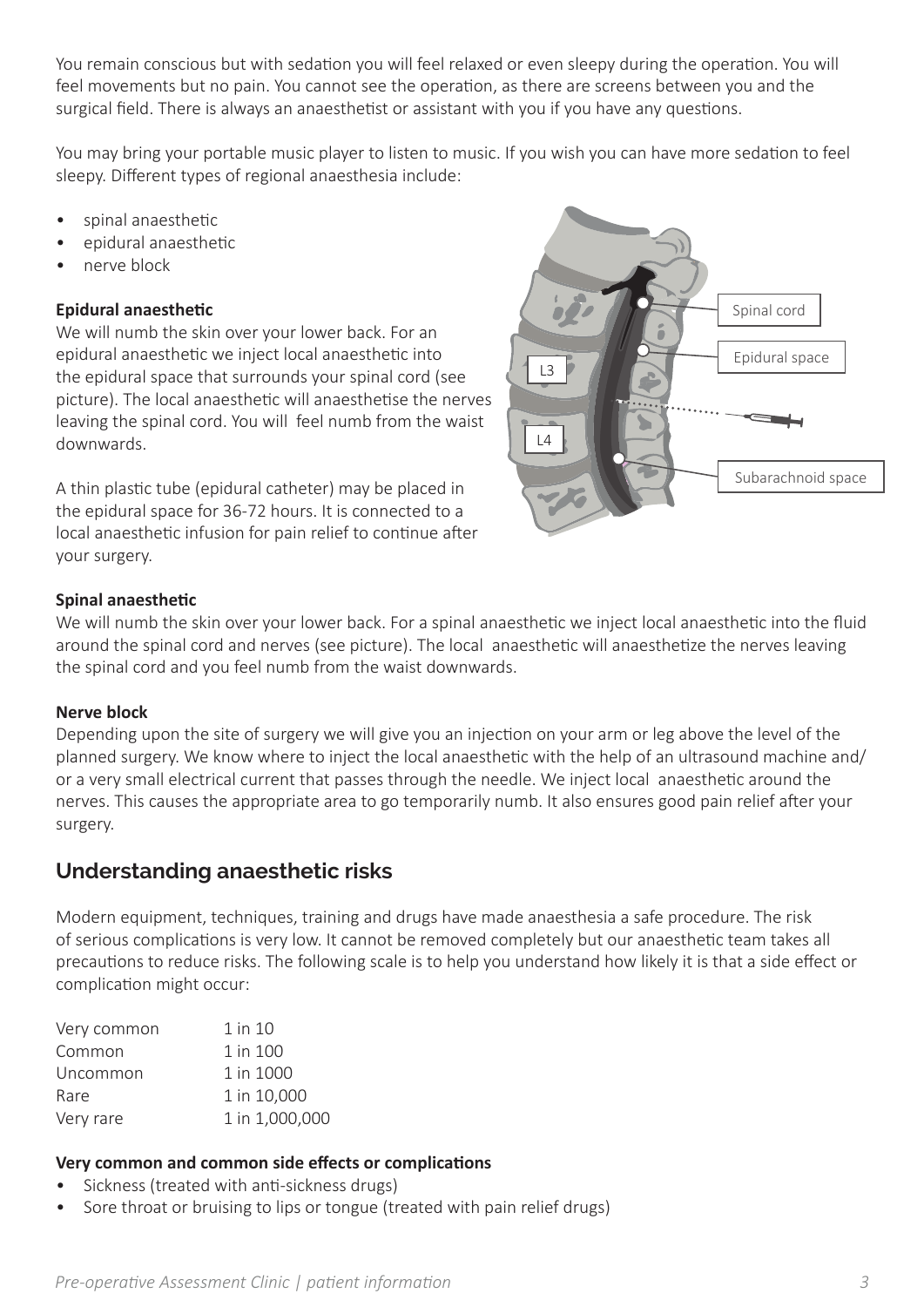You remain conscious but with sedation you will feel relaxed or even sleepy during the operation. You will feel movements but no pain. You cannot see the operation, as there are screens between you and the surgical field. There is always an anaesthetist or assistant with you if you have any questions.

You may bring your portable music player to listen to music. If you wish you can have more sedation to feel sleepy. Different types of regional anaesthesia include:

- spinal anaesthetic
- epidural anaesthetic
- nerve block

#### **Epidural anaesthetic**

We will numb the skin over your lower back. For an epidural anaesthetic we inject local anaesthetic into the epidural space that surrounds your spinal cord (see picture). The local anaesthetic will anaesthetise the nerves leaving the spinal cord. You will feel numb from the waist downwards.

A thin plastic tube (epidural catheter) may be placed in the epidural space for 36-72 hours. It is connected to a local anaesthetic infusion for pain relief to continue after your surgery.



#### **Spinal anaesthetic**

We will numb the skin over your lower back. For a spinal anaesthetic we inject local anaesthetic into the fluid around the spinal cord and nerves (see picture). The local anaesthetic will anaesthetize the nerves leaving the spinal cord and you feel numb from the waist downwards.

#### **Nerve block**

Depending upon the site of surgery we will give you an injection on your arm or leg above the level of the planned surgery. We know where to inject the local anaesthetic with the help of an ultrasound machine and/ or a very small electrical current that passes through the needle. We inject local anaesthetic around the nerves. This causes the appropriate area to go temporarily numb. It also ensures good pain relief after your surgery.

## **Understanding anaesthetic risks**

Modern equipment, techniques, training and drugs have made anaesthesia a safe procedure. The risk of serious complications is very low. It cannot be removed completely but our anaesthetic team takes all precautions to reduce risks. The following scale is to help you understand how likely it is that a side effect or complication might occur:

| Very common | 1 in 10        |
|-------------|----------------|
| Common      | 1 in 100       |
| Uncommon    | 1 in 1000      |
| Rare        | 1 in 10,000    |
| Very rare   | 1 in 1,000,000 |

#### **Very common and common side effects or complications**

- Sickness (treated with anti-sickness drugs)
- Sore throat or bruising to lips or tongue (treated with pain relief drugs)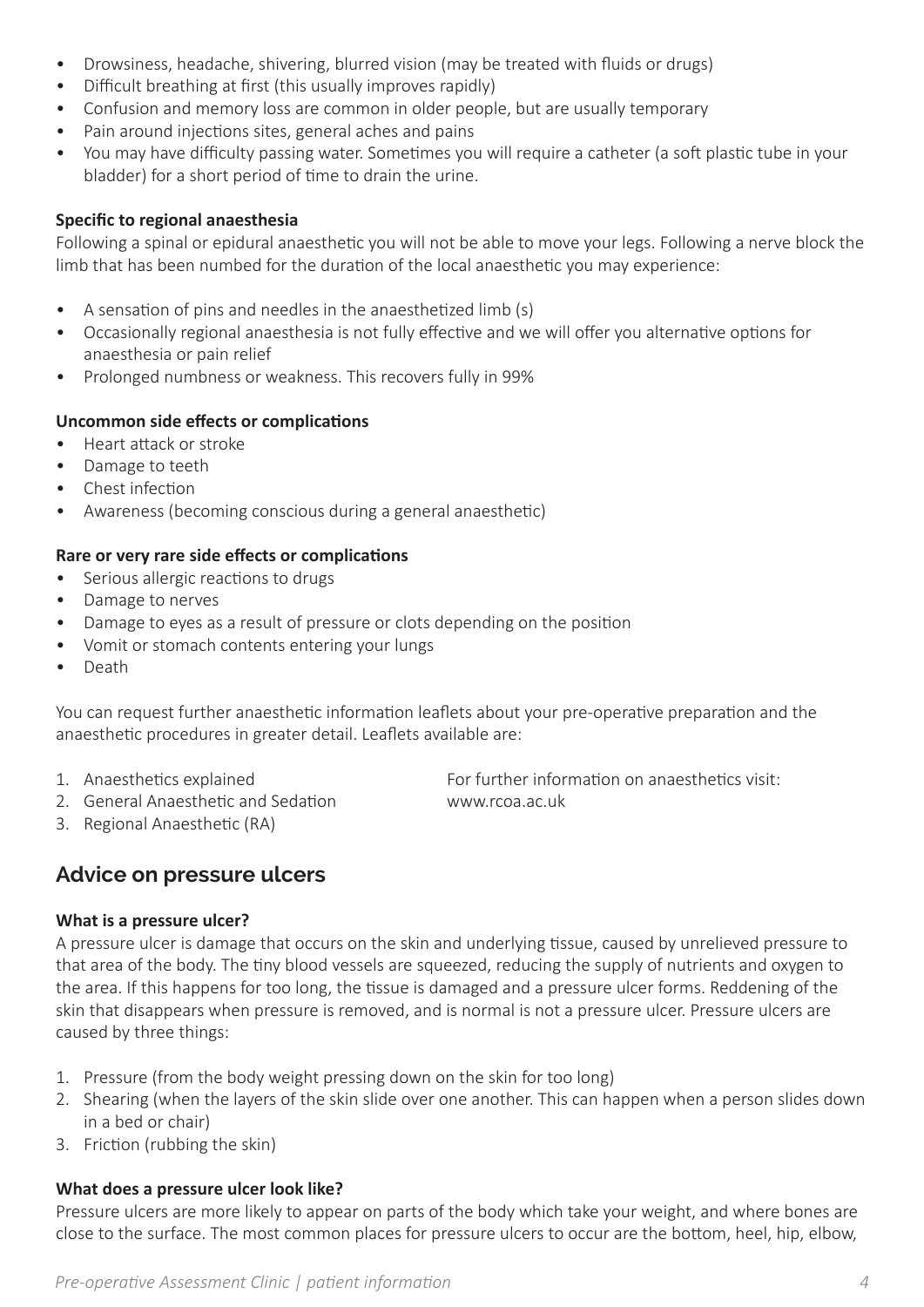- Drowsiness, headache, shivering, blurred vision (may be treated with fluids or drugs)
- Difficult breathing at first (this usually improves rapidly)
- Confusion and memory loss are common in older people, but are usually temporary
- Pain around injections sites, general aches and pains
- You may have difficulty passing water. Sometimes you will require a catheter (a soft plastic tube in your bladder) for a short period of time to drain the urine.

#### **Specific to regional anaesthesia**

Following a spinal or epidural anaesthetic you will not be able to move your legs. Following a nerve block the limb that has been numbed for the duration of the local anaesthetic you may experience:

- A sensation of pins and needles in the anaesthetized limb (s)
- Occasionally regional anaesthesia is not fully effective and we will offer you alternative options for anaesthesia or pain relief
- Prolonged numbness or weakness. This recovers fully in 99%

#### **Uncommon side effects or complications**

- Heart attack or stroke
- Damage to teeth
- Chest infection
- Awareness (becoming conscious during a general anaesthetic)

#### **Rare or very rare side effects or complications**

- Serious allergic reactions to drugs
- Damage to nerves
- Damage to eyes as a result of pressure or clots depending on the position
- Vomit or stomach contents entering your lungs
- Death

You can request further anaesthetic information leaflets about your pre-operative preparation and the anaesthetic procedures in greater detail. Leaflets available are:

- 
- 2. General Anaesthetic and Sedation www.rcoa.ac.uk

1. Anaesthetics explained For further information on anaesthetics visit:

3. Regional Anaesthetic (RA)

## **Advice on pressure ulcers**

#### **What is a pressure ulcer?**

A pressure ulcer is damage that occurs on the skin and underlying tissue, caused by unrelieved pressure to that area of the body. The tiny blood vessels are squeezed, reducing the supply of nutrients and oxygen to the area. If this happens for too long, the tissue is damaged and a pressure ulcer forms. Reddening of the skin that disappears when pressure is removed, and is normal is not a pressure ulcer. Pressure ulcers are caused by three things:

- 1. Pressure (from the body weight pressing down on the skin for too long)
- 2. Shearing (when the layers of the skin slide over one another. This can happen when a person slides down in a bed or chair)
- 3. Friction (rubbing the skin)

#### **What does a pressure ulcer look like?**

Pressure ulcers are more likely to appear on parts of the body which take your weight, and where bones are close to the surface. The most common places for pressure ulcers to occur are the bottom, heel, hip, elbow,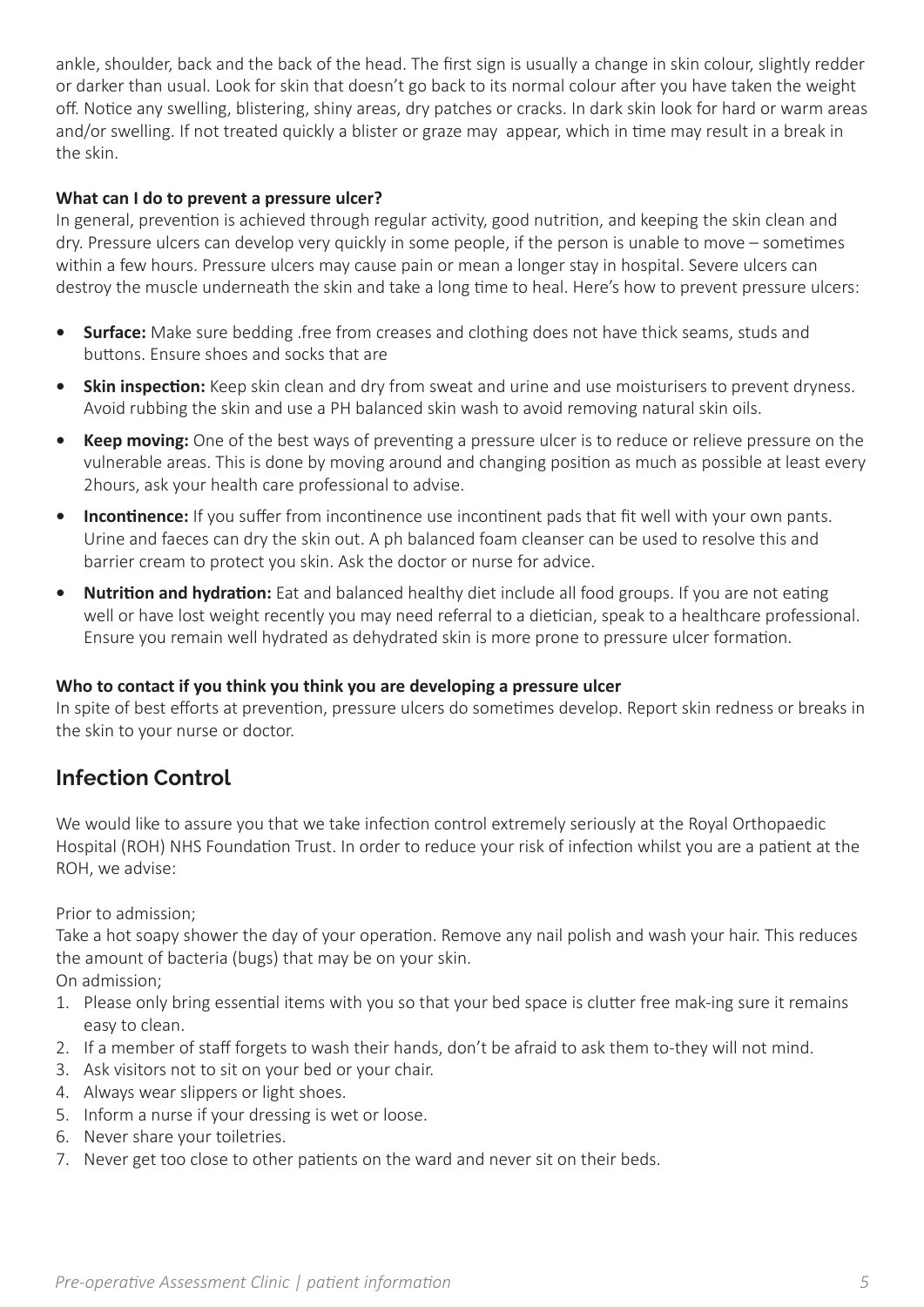ankle, shoulder, back and the back of the head. The first sign is usually a change in skin colour, slightly redder or darker than usual. Look for skin that doesn't go back to its normal colour after you have taken the weight off. Notice any swelling, blistering, shiny areas, dry patches or cracks. In dark skin look for hard or warm areas and/or swelling. If not treated quickly a blister or graze may appear, which in time may result in a break in the skin.

#### **What can I do to prevent a pressure ulcer?**

In general, prevention is achieved through regular activity, good nutrition, and keeping the skin clean and dry. Pressure ulcers can develop very quickly in some people, if the person is unable to move – sometimes within a few hours. Pressure ulcers may cause pain or mean a longer stay in hospital. Severe ulcers can destroy the muscle underneath the skin and take a long time to heal. Here's how to prevent pressure ulcers:

- **• Surface:** Make sure bedding .free from creases and clothing does not have thick seams, studs and buttons. Ensure shoes and socks that are
- **•• Skin inspection:** Keep skin clean and dry from sweat and urine and use moisturisers to prevent dryness. Avoid rubbing the skin and use a PH balanced skin wash to avoid removing natural skin oils.
- **• Keep moving:** One of the best ways of preventing a pressure ulcer is to reduce or relieve pressure on the vulnerable areas. This is done by moving around and changing position as much as possible at least every 2hours, ask your health care professional to advise.
- **Incontinence:** If you suffer from incontinence use incontinent pads that fit well with your own pants. Urine and faeces can dry the skin out. A ph balanced foam cleanser can be used to resolve this and barrier cream to protect you skin. Ask the doctor or nurse for advice.
- **• Nutrition and hydration:** Eat and balanced healthy diet include all food groups. If you are not eating well or have lost weight recently you may need referral to a dietician, speak to a healthcare professional. Ensure you remain well hydrated as dehydrated skin is more prone to pressure ulcer formation.

#### **Who to contact if you think you think you are developing a pressure ulcer**

In spite of best efforts at prevention, pressure ulcers do sometimes develop. Report skin redness or breaks in the skin to your nurse or doctor.

## **Infection Control**

We would like to assure you that we take infection control extremely seriously at the Royal Orthopaedic Hospital (ROH) NHS Foundation Trust. In order to reduce your risk of infection whilst you are a patient at the ROH, we advise:

Prior to admission;

Take a hot soapy shower the day of your operation. Remove any nail polish and wash your hair. This reduces the amount of bacteria (bugs) that may be on your skin.

On admission;

- 1. Please only bring essential items with you so that your bed space is clutter free mak-ing sure it remains easy to clean.
- 2. If a member of staff forgets to wash their hands, don't be afraid to ask them to-they will not mind.
- 3. Ask visitors not to sit on your bed or your chair.
- 4. Always wear slippers or light shoes.
- 5. Inform a nurse if your dressing is wet or loose.
- 6. Never share your toiletries.
- 7. Never get too close to other patients on the ward and never sit on their beds.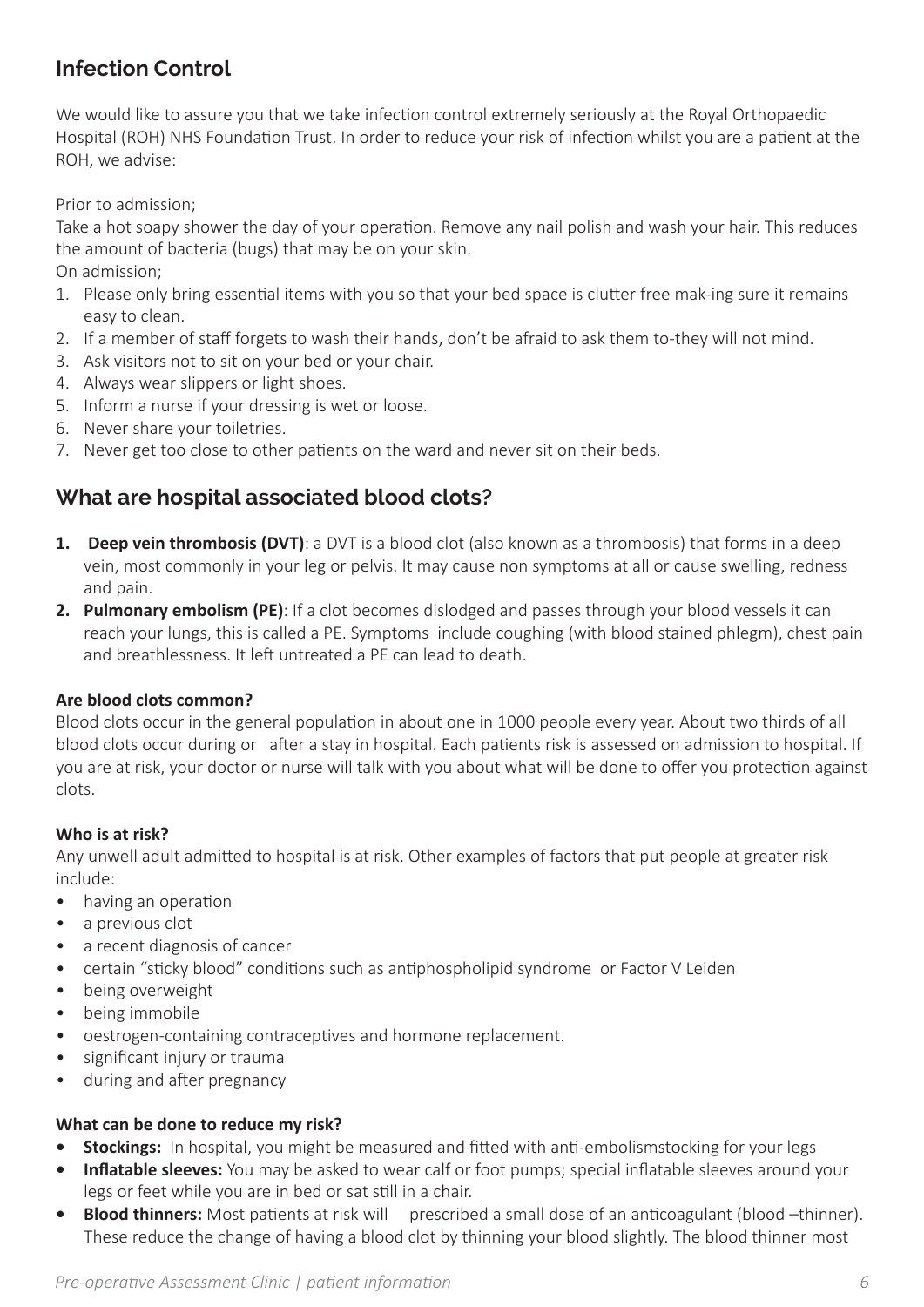## **Infection Control**

We would like to assure you that we take infection control extremely seriously at the Royal Orthopaedic Hospital (ROH) NHS Foundation Trust. In order to reduce your risk of infection whilst you are a patient at the ROH, we advise:

Prior to admission;

Take a hot soapy shower the day of your operation. Remove any nail polish and wash your hair. This reduces the amount of bacteria (bugs) that may be on your skin.

On admission;

- 1. Please only bring essential items with you so that your bed space is clutter free mak-ing sure it remains easy to clean.
- 2. If a member of staff forgets to wash their hands, don't be afraid to ask them to-they will not mind.
- 3. Ask visitors not to sit on your bed or your chair.
- 4. Always wear slippers or light shoes.
- 5. Inform a nurse if your dressing is wet or loose.
- 6. Never share your toiletries.
- 7. Never get too close to other patients on the ward and never sit on their beds.

## **What are hospital associated blood clots?**

- **1. Deep vein thrombosis (DVT)**: a DVT is a blood clot (also known as a thrombosis) that forms in a deep vein, most commonly in your leg or pelvis. It may cause non symptoms at all or cause swelling, redness and pain.
- **2. Pulmonary embolism (PE)**: If a clot becomes dislodged and passes through your blood vessels it can reach your lungs, this is called a PE. Symptoms include coughing (with blood stained phlegm), chest pain and breathlessness. It left untreated a PE can lead to death.

#### **Are blood clots common?**

Blood clots occur in the general population in about one in 1000 people every year. About two thirds of all blood clots occur during or after a stay in hospital. Each patients risk is assessed on admission to hospital. If you are at risk, your doctor or nurse will talk with you about what will be done to offer you protection against clots.

#### **Who is at risk?**

Any unwell adult admitted to hospital is at risk. Other examples of factors that put people at greater risk include:

- having an operation
- a previous clot
- a recent diagnosis of cancer
- certain "sticky blood" conditions such as antiphospholipid syndrome or Factor V Leiden
- being overweight
- being immobile
- oestrogen-containing contraceptives and hormone replacement.
- significant injury or trauma
- during and after pregnancy

#### **What can be done to reduce my risk?**

- **• Stockings:** In hospital, you might be measured and fitted with anti-embolismstocking for your legs
- **• Inflatable sleeves:** You may be asked to wear calf or foot pumps; special inflatable sleeves around your legs or feet while you are in bed or sat still in a chair.
- **Blood thinners:** Most patients at risk will prescribed a small dose of an anticoagulant (blood –thinner). These reduce the change of having a blood clot by thinning your blood slightly. The blood thinner most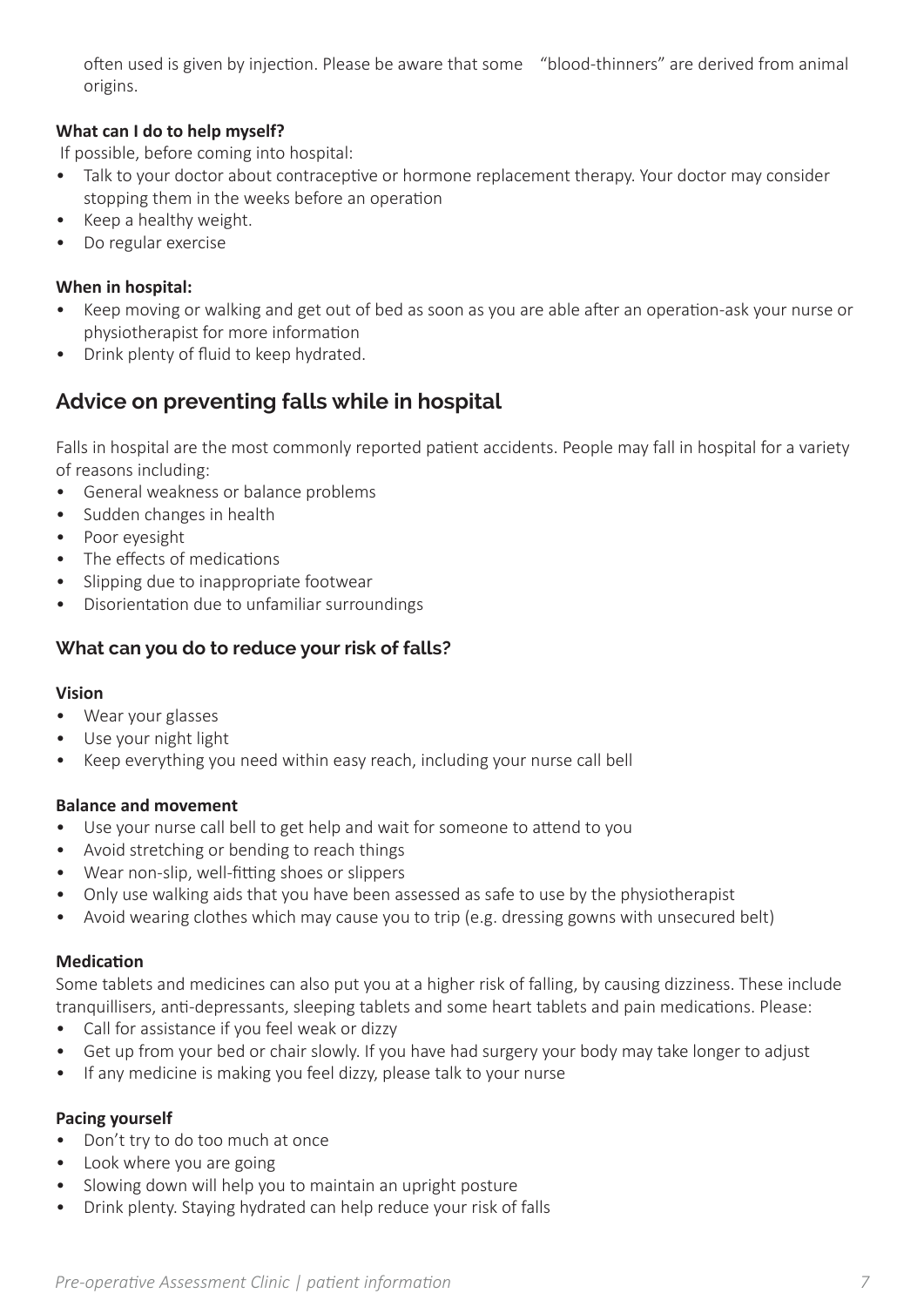often used is given by injection. Please be aware that some "blood-thinners" are derived from animal origins.

#### **What can I do to help myself?**

If possible, before coming into hospital:

- Talk to your doctor about contraceptive or hormone replacement therapy. Your doctor may consider stopping them in the weeks before an operation
- Keep a healthy weight.
- Do regular exercise

#### **When in hospital:**

- Keep moving or walking and get out of bed as soon as you are able after an operation-ask your nurse or physiotherapist for more information
- Drink plenty of fluid to keep hydrated.

## **Advice on preventing falls while in hospital**

Falls in hospital are the most commonly reported patient accidents. People may fall in hospital for a variety of reasons including:

- General weakness or balance problems
- Sudden changes in health
- Poor eyesight
- The effects of medications
- Slipping due to inappropriate footwear
- Disorientation due to unfamiliar surroundings

#### **What can you do to reduce your risk of falls?**

#### **Vision**

- Wear your glasses
- Use your night light
- Keep everything you need within easy reach, including your nurse call bell

#### **Balance and movement**

- Use your nurse call bell to get help and wait for someone to attend to you
- Avoid stretching or bending to reach things
- Wear non-slip, well-fitting shoes or slippers
- Only use walking aids that you have been assessed as safe to use by the physiotherapist
- Avoid wearing clothes which may cause you to trip (e.g. dressing gowns with unsecured belt)

#### **Medication**

Some tablets and medicines can also put you at a higher risk of falling, by causing dizziness. These include tranquillisers, anti-depressants, sleeping tablets and some heart tablets and pain medications. Please:

- Call for assistance if you feel weak or dizzy
- Get up from your bed or chair slowly. If you have had surgery your body may take longer to adjust
- If any medicine is making you feel dizzy, please talk to your nurse

#### **Pacing yourself**

- Don't try to do too much at once
- Look where you are going
- Slowing down will help you to maintain an upright posture
- Drink plenty. Staying hydrated can help reduce your risk of falls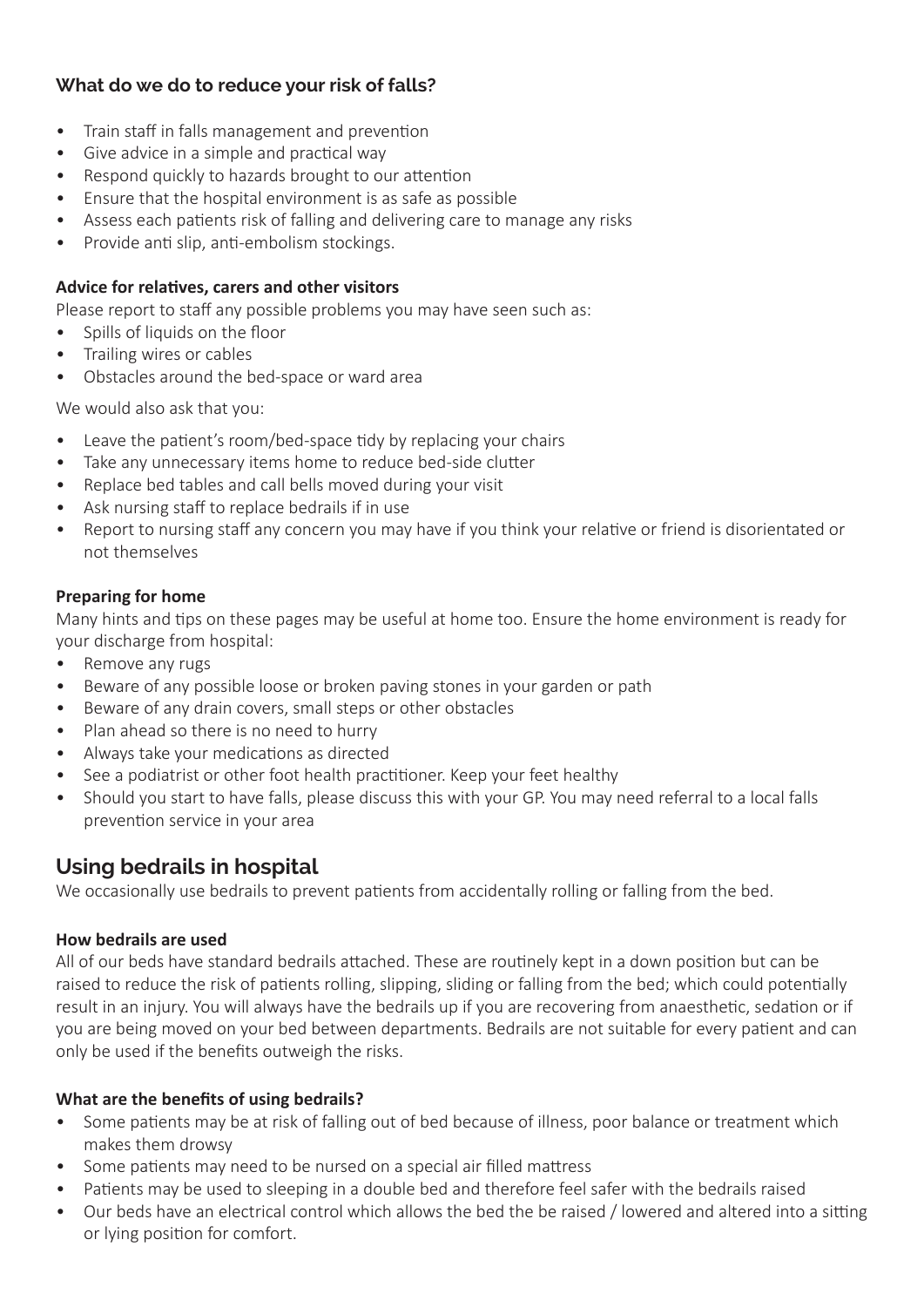## **What do we do to reduce your risk of falls?**

- Train staff in falls management and prevention
- Give advice in a simple and practical way
- Respond quickly to hazards brought to our attention
- Ensure that the hospital environment is as safe as possible
- Assess each patients risk of falling and delivering care to manage any risks
- Provide anti slip, anti-embolism stockings.

#### **Advice for relatives, carers and other visitors**

Please report to staff any possible problems you may have seen such as:

- Spills of liquids on the floor
- Trailing wires or cables
- Obstacles around the bed-space or ward area

We would also ask that you:

- Leave the patient's room/bed-space tidy by replacing your chairs
- Take any unnecessary items home to reduce bed-side clutter
- Replace bed tables and call bells moved during your visit
- Ask nursing staff to replace bedrails if in use
- Report to nursing staff any concern you may have if you think your relative or friend is disorientated or not themselves

#### **Preparing for home**

Many hints and tips on these pages may be useful at home too. Ensure the home environment is ready for your discharge from hospital:

- Remove any rugs
- Beware of any possible loose or broken paving stones in your garden or path
- Beware of any drain covers, small steps or other obstacles
- Plan ahead so there is no need to hurry
- Always take your medications as directed
- See a podiatrist or other foot health practitioner. Keep your feet healthy
- Should you start to have falls, please discuss this with your GP. You may need referral to a local falls prevention service in your area

## **Using bedrails in hospital**

We occasionally use bedrails to prevent patients from accidentally rolling or falling from the bed.

#### **How bedrails are used**

All of our beds have standard bedrails attached. These are routinely kept in a down position but can be raised to reduce the risk of patients rolling, slipping, sliding or falling from the bed; which could potentially result in an injury. You will always have the bedrails up if you are recovering from anaesthetic, sedation or if you are being moved on your bed between departments. Bedrails are not suitable for every patient and can only be used if the benefits outweigh the risks.

#### **What are the benefits of using bedrails?**

- Some patients may be at risk of falling out of bed because of illness, poor balance or treatment which makes them drowsy
- Some patients may need to be nursed on a special air filled mattress
- Patients may be used to sleeping in a double bed and therefore feel safer with the bedrails raised
- Our beds have an electrical control which allows the bed the be raised / lowered and altered into a sitting or lying position for comfort.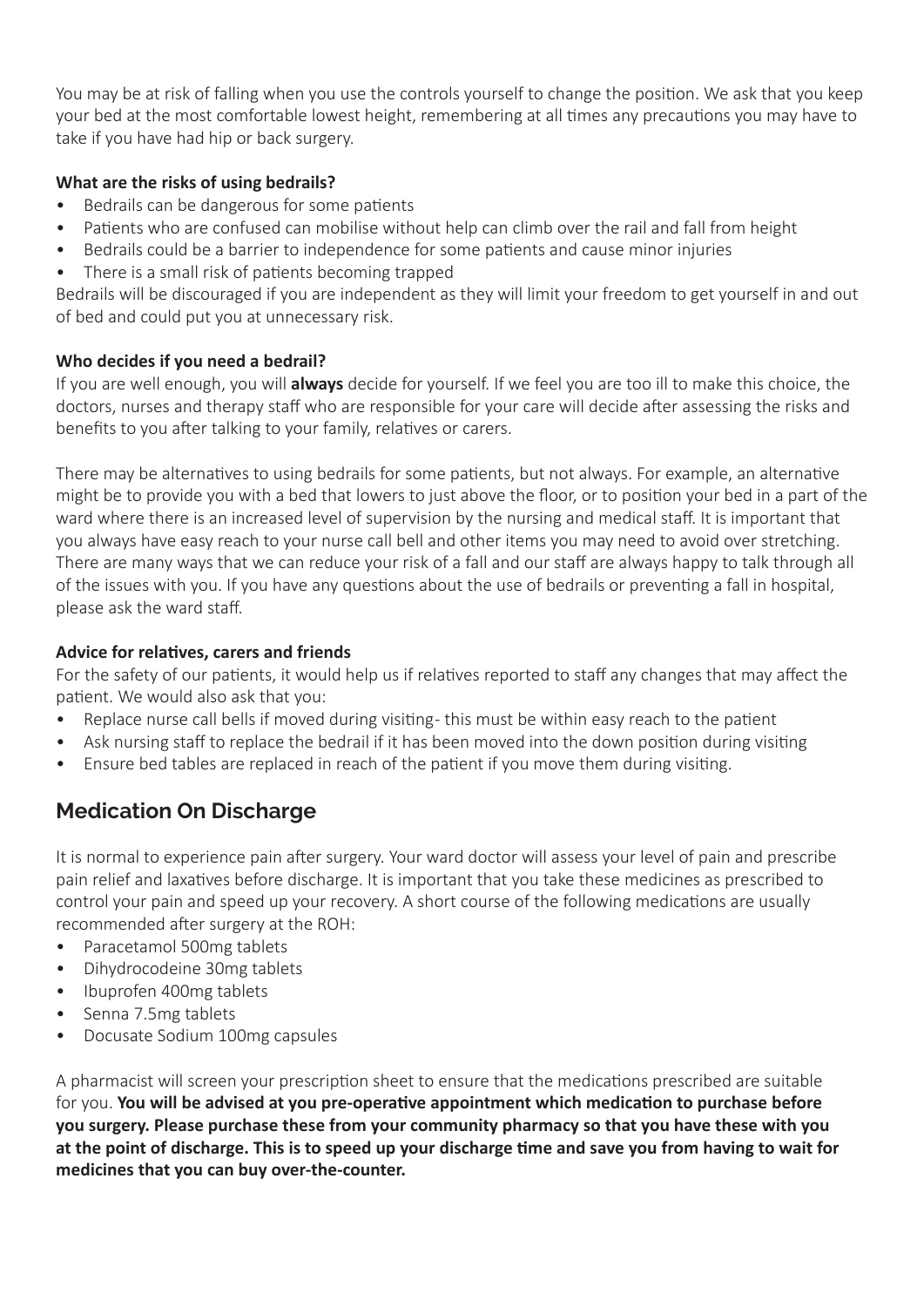You may be at risk of falling when you use the controls yourself to change the position. We ask that you keep your bed at the most comfortable lowest height, remembering at all times any precautions you may have to take if you have had hip or back surgery.

#### **What are the risks of using bedrails?**

- Bedrails can be dangerous for some patients
- Patients who are confused can mobilise without help can climb over the rail and fall from height
- Bedrails could be a barrier to independence for some patients and cause minor injuries
- There is a small risk of patients becoming trapped

Bedrails will be discouraged if you are independent as they will limit your freedom to get yourself in and out of bed and could put you at unnecessary risk.

#### **Who decides if you need a bedrail?**

If you are well enough, you will **always** decide for yourself. If we feel you are too ill to make this choice, the doctors, nurses and therapy staff who are responsible for your care will decide after assessing the risks and benefits to you after talking to your family, relatives or carers.

There may be alternatives to using bedrails for some patients, but not always. For example, an alternative might be to provide you with a bed that lowers to just above the floor, or to position your bed in a part of the ward where there is an increased level of supervision by the nursing and medical staff. It is important that you always have easy reach to your nurse call bell and other items you may need to avoid over stretching. There are many ways that we can reduce your risk of a fall and our staff are always happy to talk through all of the issues with you. If you have any questions about the use of bedrails or preventing a fall in hospital, please ask the ward staff.

#### **Advice for relatives, carers and friends**

For the safety of our patients, it would help us if relatives reported to staff any changes that may affect the patient. We would also ask that you:

- Replace nurse call bells if moved during visiting-this must be within easy reach to the patient
- Ask nursing staff to replace the bedrail if it has been moved into the down position during visiting
- Ensure bed tables are replaced in reach of the patient if you move them during visiting.

## **Medication On Discharge**

It is normal to experience pain after surgery. Your ward doctor will assess your level of pain and prescribe pain relief and laxatives before discharge. It is important that you take these medicines as prescribed to control your pain and speed up your recovery. A short course of the following medications are usually recommended after surgery at the ROH:

- Paracetamol 500mg tablets
- Dihydrocodeine 30mg tablets
- Ibuprofen 400mg tablets
- Senna 7.5mg tablets
- Docusate Sodium 100mg capsules

A pharmacist will screen your prescription sheet to ensure that the medications prescribed are suitable for you. **You will be advised at you pre-operative appointment which medication to purchase before you surgery. Please purchase these from your community pharmacy so that you have these with you at the point of discharge. This is to speed up your discharge time and save you from having to wait for medicines that you can buy over-the-counter.**